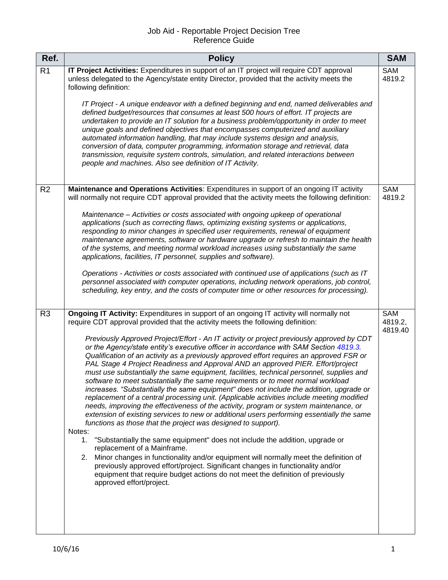## Job Aid - Reportable Project Decision Tree Reference Guide

| Ref.           | <b>Policy</b>                                                                                                                                                                                                                                                                                                                                                                                                                                                                                                                                                                                                                                                                                                                                                                                                                                                                                                                                                                                                                                                                                                                                                                                                                                                                                                                                                                                                                                                                                                                                                                                                | <b>SAM</b>                |
|----------------|--------------------------------------------------------------------------------------------------------------------------------------------------------------------------------------------------------------------------------------------------------------------------------------------------------------------------------------------------------------------------------------------------------------------------------------------------------------------------------------------------------------------------------------------------------------------------------------------------------------------------------------------------------------------------------------------------------------------------------------------------------------------------------------------------------------------------------------------------------------------------------------------------------------------------------------------------------------------------------------------------------------------------------------------------------------------------------------------------------------------------------------------------------------------------------------------------------------------------------------------------------------------------------------------------------------------------------------------------------------------------------------------------------------------------------------------------------------------------------------------------------------------------------------------------------------------------------------------------------------|---------------------------|
| R <sub>1</sub> | IT Project Activities: Expenditures in support of an IT project will require CDT approval<br>unless delegated to the Agency/state entity Director, provided that the activity meets the<br>following definition:                                                                                                                                                                                                                                                                                                                                                                                                                                                                                                                                                                                                                                                                                                                                                                                                                                                                                                                                                                                                                                                                                                                                                                                                                                                                                                                                                                                             | SAM<br>4819.2             |
|                | IT Project - A unique endeavor with a defined beginning and end, named deliverables and<br>defined budget/resources that consumes at least 500 hours of effort. IT projects are<br>undertaken to provide an IT solution for a business problem/opportunity in order to meet<br>unique goals and defined objectives that encompasses computerized and auxiliary<br>automated information handling, that may include systems design and analysis,<br>conversion of data, computer programming, information storage and retrieval, data<br>transmission, requisite system controls, simulation, and related interactions between<br>people and machines. Also see definition of IT Activity.                                                                                                                                                                                                                                                                                                                                                                                                                                                                                                                                                                                                                                                                                                                                                                                                                                                                                                                    |                           |
| R <sub>2</sub> | Maintenance and Operations Activities: Expenditures in support of an ongoing IT activity<br>will normally not require CDT approval provided that the activity meets the following definition:<br>Maintenance - Activities or costs associated with ongoing upkeep of operational<br>applications (such as correcting flaws, optimizing existing systems or applications,<br>responding to minor changes in specified user requirements, renewal of equipment<br>maintenance agreements, software or hardware upgrade or refresh to maintain the health<br>of the systems, and meeting normal workload increases using substantially the same<br>applications, facilities, IT personnel, supplies and software).<br>Operations - Activities or costs associated with continued use of applications (such as IT<br>personnel associated with computer operations, including network operations, job control,<br>scheduling, key entry, and the costs of computer time or other resources for processing).                                                                                                                                                                                                                                                                                                                                                                                                                                                                                                                                                                                                      | SAM<br>4819.2             |
| R <sub>3</sub> | Ongoing IT Activity: Expenditures in support of an ongoing IT activity will normally not<br>require CDT approval provided that the activity meets the following definition:<br>Previously Approved Project/Effort - An IT activity or project previously approved by CDT<br>or the Agency/state entity's executive officer in accordance with SAM Section 4819.3.<br>Qualification of an activity as a previously approved effort requires an approved FSR or<br>PAL Stage 4 Project Readiness and Approval AND an approved PIER. Effort/project<br>must use substantially the same equipment, facilities, technical personnel, supplies and<br>software to meet substantially the same requirements or to meet normal workload<br>increases. "Substantially the same equipment" does not include the addition, upgrade or<br>replacement of a central processing unit. (Applicable activities include meeting modified<br>needs, improving the effectiveness of the activity, program or system maintenance, or<br>extension of existing services to new or additional users performing essentially the same<br>functions as those that the project was designed to support).<br>Notes:<br>"Substantially the same equipment" does not include the addition, upgrade or<br>1.<br>replacement of a Mainframe.<br>Minor changes in functionality and/or equipment will normally meet the definition of<br>2.<br>previously approved effort/project. Significant changes in functionality and/or<br>equipment that require budget actions do not meet the definition of previously<br>approved effort/project. | SAM<br>4819.2,<br>4819.40 |
|                |                                                                                                                                                                                                                                                                                                                                                                                                                                                                                                                                                                                                                                                                                                                                                                                                                                                                                                                                                                                                                                                                                                                                                                                                                                                                                                                                                                                                                                                                                                                                                                                                              |                           |

I.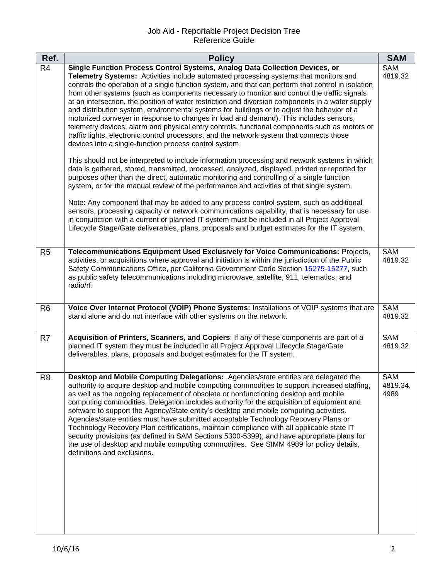## Job Aid - Reportable Project Decision Tree Reference Guide

| Ref.           | <b>Policy</b>                                                                                                                                                                                                                                                                                                                                                                                                                                                                                                                                                                                                                                                                                                                                                                                                                                                                                                                                                                                                                                                                                                                                                                                                                                                                                                                                                                                                                                                                                                                                                                                                                                                                                                     | <b>SAM</b>              |
|----------------|-------------------------------------------------------------------------------------------------------------------------------------------------------------------------------------------------------------------------------------------------------------------------------------------------------------------------------------------------------------------------------------------------------------------------------------------------------------------------------------------------------------------------------------------------------------------------------------------------------------------------------------------------------------------------------------------------------------------------------------------------------------------------------------------------------------------------------------------------------------------------------------------------------------------------------------------------------------------------------------------------------------------------------------------------------------------------------------------------------------------------------------------------------------------------------------------------------------------------------------------------------------------------------------------------------------------------------------------------------------------------------------------------------------------------------------------------------------------------------------------------------------------------------------------------------------------------------------------------------------------------------------------------------------------------------------------------------------------|-------------------------|
| R <sub>4</sub> | Single Function Process Control Systems, Analog Data Collection Devices, or<br>Telemetry Systems: Activities include automated processing systems that monitors and<br>controls the operation of a single function system, and that can perform that control in isolation<br>from other systems (such as components necessary to monitor and control the traffic signals<br>at an intersection, the position of water restriction and diversion components in a water supply<br>and distribution system, environmental systems for buildings or to adjust the behavior of a<br>motorized conveyer in response to changes in load and demand). This includes sensors,<br>telemetry devices, alarm and physical entry controls, functional components such as motors or<br>traffic lights, electronic control processors, and the network system that connects those<br>devices into a single-function process control system<br>This should not be interpreted to include information processing and network systems in which<br>data is gathered, stored, transmitted, processed, analyzed, displayed, printed or reported for<br>purposes other than the direct, automatic monitoring and controlling of a single function<br>system, or for the manual review of the performance and activities of that single system.<br>Note: Any component that may be added to any process control system, such as additional<br>sensors, processing capacity or network communications capability, that is necessary for use<br>in conjunction with a current or planned IT system must be included in all Project Approval<br>Lifecycle Stage/Gate deliverables, plans, proposals and budget estimates for the IT system. | SAM<br>4819.32          |
| R <sub>5</sub> | Telecommunications Equipment Used Exclusively for Voice Communications: Projects,<br>activities, or acquisitions where approval and initiation is within the jurisdiction of the Public<br>Safety Communications Office, per California Government Code Section 15275-15277, such<br>as public safety telecommunications including microwave, satellite, 911, telematics, and<br>radio/rf.                                                                                                                                                                                                                                                                                                                                                                                                                                                                                                                                                                                                                                                                                                                                                                                                                                                                                                                                                                                                                                                                                                                                                                                                                                                                                                                        | SAM<br>4819.32          |
| R <sub>6</sub> | Voice Over Internet Protocol (VOIP) Phone Systems: Installations of VOIP systems that are<br>stand alone and do not interface with other systems on the network.                                                                                                                                                                                                                                                                                                                                                                                                                                                                                                                                                                                                                                                                                                                                                                                                                                                                                                                                                                                                                                                                                                                                                                                                                                                                                                                                                                                                                                                                                                                                                  | SAM<br>4819.32          |
| R <sub>7</sub> | Acquisition of Printers, Scanners, and Copiers: If any of these components are part of a<br>planned IT system they must be included in all Project Approval Lifecycle Stage/Gate<br>deliverables, plans, proposals and budget estimates for the IT system.                                                                                                                                                                                                                                                                                                                                                                                                                                                                                                                                                                                                                                                                                                                                                                                                                                                                                                                                                                                                                                                                                                                                                                                                                                                                                                                                                                                                                                                        | SAM<br>4819.32          |
| R <sub>8</sub> | Desktop and Mobile Computing Delegations: Agencies/state entities are delegated the<br>authority to acquire desktop and mobile computing commodities to support increased staffing,<br>as well as the ongoing replacement of obsolete or nonfunctioning desktop and mobile<br>computing commodities. Delegation includes authority for the acquisition of equipment and<br>software to support the Agency/State entity's desktop and mobile computing activities.<br>Agencies/state entities must have submitted acceptable Technology Recovery Plans or<br>Technology Recovery Plan certifications, maintain compliance with all applicable state IT<br>security provisions (as defined in SAM Sections 5300-5399), and have appropriate plans for<br>the use of desktop and mobile computing commodities. See SIMM 4989 for policy details,<br>definitions and exclusions.                                                                                                                                                                                                                                                                                                                                                                                                                                                                                                                                                                                                                                                                                                                                                                                                                                      | SAM<br>4819.34,<br>4989 |